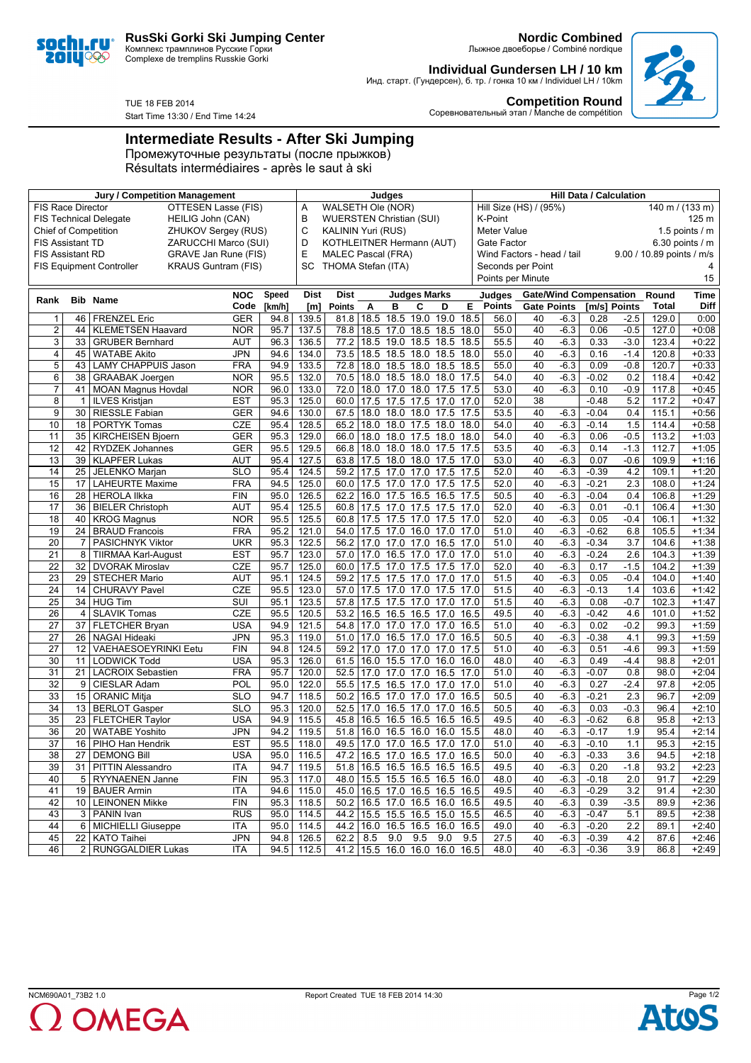

Комплекс трамплинов Русские Горки Complexe de tremplins Russkie Gorki

Start Time 13:30 / End Time 14:24

TUE 18 FEB 2014

**Nordic Combined** Лыжное двоеборье / Combiné nordique

**Individual Gundersen LH / 10 km** Инд. старт. (Гундерсен), б. тр. / гонка 10 км / Individuel LH / 10km



**Competition Round** Соревновательный этап / Manche de compétition

## **Intermediate Results - After Ski Jumping**

Промежуточные результаты (после прыжков) Résultats intermédiaires - après le saut à ski

| Jury / Competition Management                             |    |                                                               |            |        |                                      | Judges                        |      |                               |                     |      |      | <b>Hill Data / Calculation</b>            |                    |        |         |                  |                           |         |
|-----------------------------------------------------------|----|---------------------------------------------------------------|------------|--------|--------------------------------------|-------------------------------|------|-------------------------------|---------------------|------|------|-------------------------------------------|--------------------|--------|---------|------------------|---------------------------|---------|
| OTTESEN Lasse (FIS)<br><b>FIS Race Director</b>           |    |                                                               |            |        |                                      | WALSETH Ole (NOR)<br>Α        |      |                               |                     |      |      | Hill Size (HS) / (95%)<br>140 m / (133 m) |                    |        |         |                  |                           |         |
| <b>FIS Technical Delegate</b><br>HEILIG John (CAN)        |    |                                                               |            |        | В<br><b>WUERSTEN Christian (SUI)</b> |                               |      |                               |                     |      |      | K-Point<br>125 m                          |                    |        |         |                  |                           |         |
| <b>Chief of Competition</b><br><b>ZHUKOV Sergey (RUS)</b> |    |                                                               |            |        | C<br><b>KALININ Yuri (RUS)</b>       |                               |      |                               |                     |      |      | <b>Meter Value</b><br>1.5 points $/$ m    |                    |        |         |                  |                           |         |
| ZARUCCHI Marco (SUI)<br><b>FIS Assistant TD</b>           |    |                                                               |            |        | D<br>KOTHLEITNER Hermann (AUT)       |                               |      |                               |                     |      |      | 6.30 points $/$ m<br>Gate Factor          |                    |        |         |                  |                           |         |
| <b>FIS Assistant RD</b>                                   |    | GRAVE Jan Rune (FIS)                                          |            |        | Е                                    | <b>MALEC Pascal (FRA)</b>     |      |                               |                     |      |      | Wind Factors - head / tail                |                    |        |         |                  | 9.00 / 10.89 points / m/s |         |
|                                                           |    | <b>KRAUS Guntram (FIS)</b><br><b>FIS Equipment Controller</b> |            |        | SC                                   | THOMA Stefan (ITA)            |      |                               |                     |      |      | Seconds per Point                         |                    |        |         |                  |                           |         |
|                                                           |    |                                                               |            |        |                                      |                               |      |                               |                     |      |      | 15<br>Points per Minute                   |                    |        |         |                  |                           |         |
|                                                           |    |                                                               | <b>NOC</b> | Speed  | <b>Dist</b>                          | <b>Dist</b>                   |      |                               | <b>Judges Marks</b> |      |      | <b>Gate/Wind Compensation</b><br>Judges   |                    |        |         |                  | Round<br>Time             |         |
| Rank                                                      |    | <b>Bib Name</b>                                               | Code       | [km/h] | [m]                                  | <b>Points</b>                 | A    | в                             | C                   | D    | Е    | Points                                    | <b>Gate Points</b> |        |         | [m/s] Points     | Total                     | Diff    |
| $\mathbf{1}$                                              | 46 | <b>FRENZEL Eric</b>                                           | <b>GER</b> | 94.8   | 139.5                                | $81.8$   18.5                 |      | 18.5                          | 19.0                | 19.0 | 18.5 | 56.0                                      | 40                 | $-6.3$ | 0.28    | $-2.5$           | 129.0                     | 0:00    |
| $\overline{2}$                                            | 44 | <b>KLEMETSEN Haavard</b>                                      | <b>NOR</b> | 95.7   | 137.5                                | 78.8                          | 18.5 | 17.0                          | 18.5                | 18.5 | 18.0 | 55.0                                      | 40                 | $-6.3$ | 0.06    | $-0.5$           | 127.0                     | $+0:08$ |
| 3                                                         | 33 | <b>GRUBER Bernhard</b>                                        | <b>AUT</b> | 96.3   | 136.5                                | 77.2                          | 18.5 |                               | 19.0 18.5 18.5      |      | 18.5 | 55.5                                      | 40                 | $-6.3$ | 0.33    | $-3.0$           | 123.4                     | $+0:22$ |
| $\overline{4}$                                            | 45 | <b>WATABE Akito</b>                                           | <b>JPN</b> | 94.6   | 134.0                                | 73.5                          | 18.5 |                               | 18.5 18.0 18.5      |      | 18.0 | 55.0                                      | 40                 | $-6.3$ | 0.16    | $-1.4$           | 120.8                     | $+0:33$ |
| 5                                                         | 43 | LAMY CHAPPUIS Jason                                           | <b>FRA</b> | 94.9   | 133.5                                | 72.8                          | 18.0 |                               | 18.5 18.0 18.5      |      | 18.5 | 55.0                                      | 40                 | $-6.3$ | 0.09    | $-0.8$           | 120.7                     | $+0:33$ |
| 6                                                         | 38 | <b>GRAABAK Joergen</b>                                        | <b>NOR</b> | 95.5   | 132.0                                | 70.5                          | 18.0 |                               | 18.5 18.0 18.0      |      | 17.5 | 54.0                                      | 40                 | $-6.3$ | $-0.02$ | 0.2              | 118.4                     | $+0:42$ |
| $\overline{7}$                                            | 41 | <b>MOAN Magnus Hovdal</b>                                     | <b>NOR</b> | 96.0   | 133.0                                | 72.0                          | 18.0 | 17.0 18.0 17.5                |                     |      | 17.5 | 53.0                                      | 40                 | $-6.3$ | 0.10    | $-0.9$           | 117.8                     | $+0:45$ |
| 8                                                         | 1  | <b>ILVES Kristjan</b>                                         | <b>EST</b> | 95.3   | 125.0                                | 60.0                          | 17.5 | 17.5 17.5                     |                     | 17.0 | 17.0 | 52.0                                      | 38                 |        | $-0.48$ | 5.2              | 117.2                     | $+0:47$ |
| 9                                                         | 30 | RIESSLE Fabian                                                | <b>GER</b> | 94.6   | 130.0                                | 67.5                          | 18.0 |                               | 18.0 18.0 17.5      |      | 17.5 | 53.5                                      | 40                 | $-6.3$ | $-0.04$ | 0.4              | 115.1                     | $+0:56$ |
| 10                                                        | 18 | <b>PORTYK Tomas</b>                                           | <b>CZE</b> | 95.4   | 128.5                                | 65.2                          | 18.0 |                               | 18.0 17.5 18.0      |      | 18.0 | 54.0                                      | 40                 | $-6.3$ | $-0.14$ | 1.5              | 114.4                     | $+0:58$ |
| 11                                                        | 35 | <b>KIRCHEISEN Bjoern</b>                                      | <b>GER</b> | 95.3   | 129.0                                | 66.0                          | 18.0 |                               | 18.0 17.5 18.0      |      | 18.0 | 54.0                                      | 40                 | $-6.3$ | 0.06    | $-0.5$           | 113.2                     | $+1:03$ |
| $\overline{12}$                                           | 42 | <b>RYDZEK Johannes</b>                                        | <b>GER</b> | 95.5   | 129.5                                | 66.8                          | 18.0 |                               | 18.0 18.0 17.5      |      | 17.5 | 53.5                                      | 40                 | $-6.3$ | 0.14    | $-1.3$           | 112.7                     | $+1:05$ |
| 13                                                        | 39 | KLAPFER Lukas                                                 | <b>AUT</b> | 95.4   | 127.5                                | 63.8                          | 17.5 | 18.0 18.0 17.5                |                     |      | 17.0 | 53.0                                      | 40                 | $-6.3$ | 0.07    | $-0.6$           | 109.9                     | $+1:16$ |
| 14                                                        | 25 | JELENKO Marjan                                                | <b>SLO</b> | 95.4   | 124.5                                | 59.2                          | 17.5 |                               | 17.0 17.0 17.5      |      | 17.5 | 52.0                                      | 40                 | $-6.3$ | $-0.39$ | 4.2              | 109.1                     | $+1:20$ |
| 15                                                        | 17 | <b>LAHEURTE Maxime</b>                                        | <b>FRA</b> | 94.5   | 125.0                                | 60.0                          | 17.5 | 17.0 17.0 17.5                |                     |      | 17.5 | 52.0                                      | 40                 | $-6.3$ | $-0.21$ | 2.3              | 108.0                     | $+1:24$ |
| 16                                                        | 28 | <b>HEROLA IIkka</b>                                           | <b>FIN</b> | 95.0   | 126.5                                | 62.2                          | 16.0 |                               | 17.5 16.5 16.5      |      | 17.5 | 50.5                                      | 40                 | $-6.3$ | $-0.04$ | 0.4              | 106.8                     | $+1:29$ |
| $\overline{17}$                                           | 36 | <b>BIELER Christoph</b>                                       | AUT        | 95.4   | 125.5                                | 60.8                          | 17.5 | 17.0                          | 17.5 17.5           |      | 17.0 | 52.0                                      | 40                 | $-6.3$ | 0.01    | $-0.1$           | 106.4                     | $+1:30$ |
| $\overline{18}$                                           | 40 | <b>KROG Magnus</b>                                            | <b>NOR</b> | 95.5   | 125.5                                | 60.8                          | 17.5 | 17.5 17.0 17.5                |                     |      | 17.0 | 52.0                                      | 40                 | $-6.3$ | 0.05    | $-0.4$           | 106.1                     | $+1:32$ |
| 19                                                        | 24 | <b>BRAUD Francois</b>                                         | <b>FRA</b> | 95.2   | 121.0                                | 54.0                          | 17.5 | 17.0 16.0 17.0                |                     |      | 17.0 | 51.0                                      | 40                 | $-6.3$ | $-0.62$ | 6.8              | 105.5                     | $+1:34$ |
| 20                                                        | 7  | PASICHNYK Viktor                                              | <b>UKR</b> | 95.3   | 122.5                                | 56.2                          | 17.0 |                               | 17.0 17.0 16.5      |      | 17.0 | 51.0                                      | 40                 | $-6.3$ | $-0.34$ | 3.7              | 104.6                     | $+1:38$ |
| $\overline{21}$                                           | 8  | <b>TIIRMAA Karl-August</b>                                    | <b>EST</b> | 95.7   | 123.0                                | 57.0                          | 17.0 |                               | 16.5 17.0 17.0      |      | 17.0 | 51.0                                      | 40                 | $-6.3$ | $-0.24$ | $\overline{2.6}$ | 104.3                     | $+1:39$ |
| $\overline{22}$                                           | 32 | <b>DVORAK Miroslav</b>                                        | CZE        | 95.7   | 125.0                                | 60.0                          | 17.5 | 17.0 17.5 17.5                |                     |      | 17.0 | 52.0                                      | 40                 | $-6.3$ | 0.17    | $-1.5$           | 104.2                     | $+1:39$ |
| $\overline{23}$                                           | 29 | <b>STECHER Mario</b>                                          | <b>AUT</b> | 95.1   | 124.5                                | 59.2                          | 17.5 |                               | 17.5 17.0 17.0      |      | 17.0 | 51.5                                      | 40                 | $-6.3$ | 0.05    | $-0.4$           | 104.0                     | $+1:40$ |
| $\overline{24}$                                           | 14 | <b>CHURAVY Pavel</b>                                          | <b>CZE</b> | 95.5   | 123.0                                | 57.0                          | 17.5 | 17.0 17.0 17.5                |                     |      | 17.0 | 51.5                                      | 40                 | $-6.3$ | $-0.13$ | 1.4              | 103.6                     | $+1:42$ |
| $\overline{25}$                                           | 34 | <b>HUG Tim</b>                                                | SUI        | 95.1   | 123.5                                | 57.8                          | 17.5 | 17.5 17.0                     |                     | 17.0 | 17.0 | 51.5                                      | 40                 | $-6.3$ | 0.08    | $-0.7$           | 102.3                     | $+1:47$ |
| $\overline{26}$                                           | 4  | <b>SLAVIK Tomas</b>                                           | CZE        | 95.5   | 120.5                                | 53.2                          | 16.5 | 16.5 16.5 17.0                |                     |      | 16.5 | 49.5                                      | 40                 | $-6.3$ | $-0.42$ | 4.6              | 101.0                     | $+1:52$ |
| $\overline{27}$                                           | 37 | <b>FLETCHER Bryan</b>                                         | <b>USA</b> | 94.9   | 121.5                                | 54.8                          | 17.0 | 17.0 17.0 17.0                |                     |      | 16.5 | 51.0                                      | 40                 | $-6.3$ | 0.02    | $-0.2$           | 99.3                      | $+1:59$ |
| 27                                                        | 26 | <b>NAGAI Hideaki</b>                                          | <b>JPN</b> | 95.3   | 119.0                                | 51.0                          | 17.0 |                               | 16.5 17.0 17.0      |      | 16.5 | 50.5                                      | 40                 | $-6.3$ | $-0.38$ | 4.1              | 99.3                      | $+1:59$ |
| 27                                                        | 12 | VAEHAESOEYRINKI Eetu                                          | <b>FIN</b> | 94.8   | 124.5                                | 59.2                          | 17.0 |                               | 17.0 17.0 17.0      |      | 17.5 | 51.0                                      | 40                 | $-6.3$ | 0.51    | $-4.6$           | 99.3                      | $+1:59$ |
| 30                                                        | 11 | <b>LODWICK Todd</b>                                           | <b>USA</b> | 95.3   | 126.0                                | 61.5                          | 16.0 |                               | 15.5 17.0 16.0      |      | 16.0 | 48.0                                      | 40                 | $-6.3$ | 0.49    | $-4.4$           | 98.8                      | $+2:01$ |
| $\overline{31}$                                           | 21 | <b>LACROIX Sebastien</b>                                      | <b>FRA</b> | 95.7   | 120.0                                | $52.5$ 17.0                   |      | 17.0 17.0 16.5                |                     |      | 17.0 | 51.0                                      | 40                 | $-6.3$ | $-0.07$ | 0.8              | 98.0                      | $+2:04$ |
| 32                                                        | 9  | <b>CIESLAR Adam</b>                                           | POL        | 95.0   | 122.0                                | 55.5                          | 17.5 | 16.5 17.0                     |                     | 17.0 | 17.0 | 51.0                                      | 40                 | $-6.3$ | 0.27    | $-2.4$           | 97.8                      | $+2:05$ |
| 33                                                        | 15 | <b>ORANIC Mitja</b>                                           | <b>SLO</b> | 94.7   | 118.5                                | 50.2                          | 16.5 | 17.0                          | 17.0                | 17.0 | 16.5 | 50.5                                      | 40                 | $-6.3$ | $-0.21$ | 2.3              | 96.7                      | $+2:09$ |
| 34                                                        | 13 | <b>BERLOT</b> Gasper                                          | <b>SLO</b> | 95.3   | 120.0                                | 52.5                          | 17.0 | 16.5 17.0                     |                     | 17.0 | 16.5 | 50.5                                      | 40                 | $-6.3$ | 0.03    | $-0.3$           | 96.4                      | $+2:10$ |
| 35                                                        |    | 23 FLETCHER Taylor                                            | <b>USA</b> | 94.9   | 115.5                                | 45.8                          | 16.5 | 16.5 16.5 16.5                |                     |      | 16.5 | 49.5                                      | 40                 | $-6.3$ | $-0.62$ | 6.8              | 95.8                      | $+2:13$ |
| 36                                                        | 20 | <b>WATABE Yoshito</b>                                         | <b>JPN</b> | 94.2   | 119.5                                | 51.8                          | 16.0 |                               | 16.5 16.0 16.0      |      | 15.5 | 48.0                                      | 40                 | $-6.3$ | $-0.17$ | 1.9              | 95.4                      | $+2:14$ |
| 37                                                        | 16 | PIHO Han Hendrik                                              | <b>EST</b> | 95.5   | 118.0                                | 49.5                          | 17.0 | 17.0 16.5 17.0                |                     |      | 17.0 | 51.0                                      | 40                 | $-6.3$ | $-0.10$ | 1.1              | 95.3                      | $+2:15$ |
| 38                                                        |    | 27 DEMONG Bill                                                | <b>USA</b> | 95.0   | 116.5                                |                               |      | 47.2 16.5 17.0 16.5 17.0 16.5 |                     |      |      | 50.0                                      | 40                 | $-6.3$ | $-0.33$ | $\overline{3.6}$ | 94.5                      | $+2:18$ |
| 39                                                        |    | 31   PITTIN Alessandro                                        | ITA        | 94.7   | 119.5                                |                               |      | 51.8 16.5 16.5 16.5 16.5 16.5 |                     |      |      | 49.5                                      | 40                 | $-6.3$ | 0.20    | $-1.8$           | 93.2                      | $+2:23$ |
| 40                                                        |    | 5   RYYNAENEN Janne                                           | <b>FIN</b> | 95.3   | 117.0                                | 48.0 15.5 15.5 16.5 16.5 16.0 |      |                               |                     |      |      | 48.0                                      | 40                 | $-6.3$ | $-0.18$ | 2.0              | 91.7                      | $+2:29$ |
| 41                                                        |    | 19 BAUER Armin                                                | <b>ITA</b> | 94.6   | 115.0                                |                               |      | 45.0 16.5 17.0 16.5 16.5 16.5 |                     |      |      | 49.5                                      | 40                 | $-6.3$ | $-0.29$ | 3.2              | 91.4                      | $+2:30$ |
| 42                                                        |    | 10   LEINONEN Mikke                                           | <b>FIN</b> | 95.3   | 118.5                                |                               |      | 50.2 16.5 17.0 16.5 16.0 16.5 |                     |      |      | 49.5                                      | 40                 | $-6.3$ | 0.39    | $-3.5$           | 89.9                      | $+2:36$ |
| 43                                                        |    | 3 PANIN Ivan                                                  | <b>RUS</b> | 95.0   | 114.5                                |                               |      | 44.2 15.5 15.5 16.5 15.0 15.5 |                     |      |      | 46.5                                      | 40                 | $-6.3$ | $-0.47$ | 5.1              | 89.5                      | $+2:38$ |
| 44                                                        |    | 6 MICHIELLI Giuseppe                                          | ITA        | 95.0   | 114.5                                | 44.2 16.0 16.5 16.5 16.0 16.5 |      |                               |                     |      |      | 49.0                                      | 40                 | $-6.3$ | $-0.20$ | 2.2              | 89.1                      | $+2:40$ |
| 45                                                        |    | 22   KATO Taihei                                              | <b>JPN</b> | 94.8   | 126.5                                | $62.2$ 8.5                    |      |                               | 9.0 9.5 9.0         |      | 9.5  | 27.5                                      | 40                 | $-6.3$ | $-0.39$ | 4.2              | 87.6                      | $+2:46$ |
| 46                                                        |    | 2 RUNGGALDIER Lukas                                           | <b>ITA</b> | 94.5   | 112.5                                |                               |      | 41.2 15.5 16.0 16.0 16.0 16.5 |                     |      |      | 48.0                                      | 40                 | $-6.3$ | $-0.36$ | 3.9              | 86.8                      | $+2:49$ |